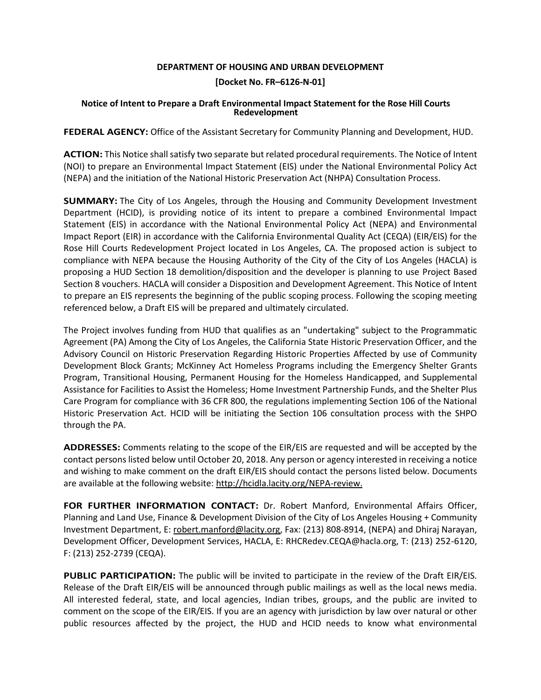## **DEPARTMENT OF HOUSING AND URBAN DEVELOPMENT**

## **[Docket No. FR–6126-N-01]**

## **Notice of Intent to Prepare a Draft Environmental Impact Statement for the Rose Hill Courts Redevelopment**

**FEDERAL AGENCY:** Office of the Assistant Secretary for Community Planning and Development, HUD.

**ACTION:** This Notice shall satisfy two separate but related procedural requirements. The Notice of Intent (NOI) to prepare an Environmental Impact Statement (EIS) under the National Environmental Policy Act (NEPA) and the initiation of the National Historic Preservation Act (NHPA) Consultation Process.

**SUMMARY:** The City of Los Angeles, through the Housing and Community Development Investment Department (HCID), is providing notice of its intent to prepare a combined Environmental Impact Statement (EIS) in accordance with the National Environmental Policy Act (NEPA) and Environmental Impact Report (EIR) in accordance with the California Environmental Quality Act (CEQA) (EIR/EIS) for the Rose Hill Courts Redevelopment Project located in Los Angeles, CA. The proposed action is subject to compliance with NEPA because the Housing Authority of the City of the City of Los Angeles (HACLA) is proposing a HUD Section 18 demolition/disposition and the developer is planning to use Project Based Section 8 vouchers. HACLA will consider a Disposition and Development Agreement. This Notice of Intent to prepare an EIS represents the beginning of the public scoping process. Following the scoping meeting referenced below, a Draft EIS will be prepared and ultimately circulated.

The Project involves funding from HUD that qualifies as an "undertaking" subject to the Programmatic Agreement (PA) Among the City of Los Angeles, the California State Historic Preservation Officer, and the Advisory Council on Historic Preservation Regarding Historic Properties Affected by use of Community Development Block Grants; McKinney Act Homeless Programs including the Emergency Shelter Grants Program, Transitional Housing, Permanent Housing for the Homeless Handicapped, and Supplemental Assistance for Facilities to Assist the Homeless; Home Investment Partnership Funds, and the Shelter Plus Care Program for compliance with 36 CFR 800, the regulations implementing Section 106 of the National Historic Preservation Act. HCID will be initiating the Section 106 consultation process with the SHPO through the PA.

**ADDRESSES:** Comments relating to the scope of the EIR/EIS are requested and will be accepted by the contact persons listed below until October 20, 2018. Any person or agency interested in receiving a notice and wishing to make comment on the draft EIR/EIS should contact the persons listed below. Documents are available at the following website: [http://hcidla.lacity.org/NEPA-review.](http://hcidla.lacity.org/NEPA-review)

**FOR FURTHER INFORMATION CONTACT:** Dr. Robert Manford, Environmental Affairs Officer, Planning and Land Use, Finance & Development Division of the City of Los Angeles Housing + Community Investment Department, E: [robert.manford@lacity.org,](mailto:robert.manford@lacity.org) Fax: (213) 808-8914, (NEPA) and Dhiraj Narayan, Development Officer, Development Services, HACLA, E: RHCRedev.CEQA@hacla.org, T: (213) 252-6120, F: (213) 252-2739 (CEQA).

**PUBLIC PARTICIPATION:** The public will be invited to participate in the review of the Draft EIR/EIS. Release of the Draft EIR/EIS will be announced through public mailings as well as the local news media. All interested federal, state, and local agencies, Indian tribes, groups, and the public are invited to comment on the scope of the EIR/EIS. If you are an agency with jurisdiction by law over natural or other public resources affected by the project, the HUD and HCID needs to know what environmental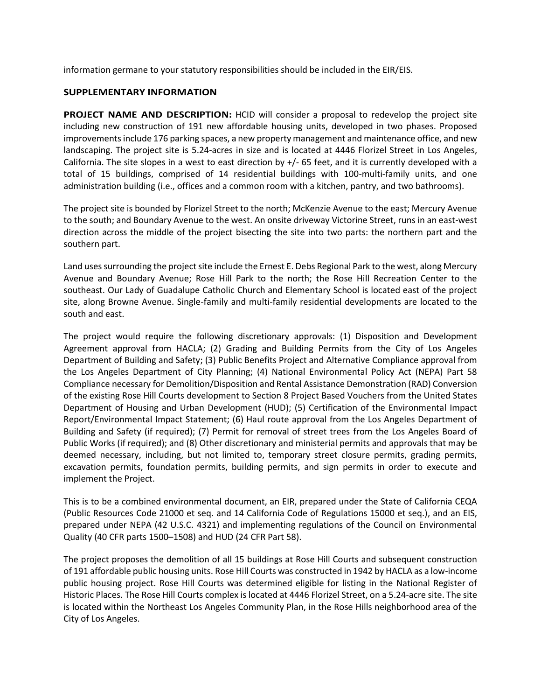information germane to your statutory responsibilities should be included in the EIR/EIS.

## **SUPPLEMENTARY INFORMATION**

**PROJECT NAME AND DESCRIPTION:** HCID will consider a proposal to redevelop the project site including new construction of 191 new affordable housing units, developed in two phases. Proposed improvements include 176 parking spaces, a new property management and maintenance office, and new landscaping. The project site is 5.24-acres in size and is located at 4446 Florizel Street in Los Angeles, California. The site slopes in a west to east direction by +/- 65 feet, and it is currently developed with a total of 15 buildings, comprised of 14 residential buildings with 100-multi-family units, and one administration building (i.e., offices and a common room with a kitchen, pantry, and two bathrooms).

The project site is bounded by Florizel Street to the north; McKenzie Avenue to the east; Mercury Avenue to the south; and Boundary Avenue to the west. An onsite driveway Victorine Street, runs in an east-west direction across the middle of the project bisecting the site into two parts: the northern part and the southern part.

Land uses surrounding the project site include the Ernest E. Debs Regional Park to the west, along Mercury Avenue and Boundary Avenue; Rose Hill Park to the north; the Rose Hill Recreation Center to the southeast. Our Lady of Guadalupe Catholic Church and Elementary School is located east of the project site, along Browne Avenue. Single-family and multi-family residential developments are located to the south and east.

The project would require the following discretionary approvals: (1) Disposition and Development Agreement approval from HACLA; (2) Grading and Building Permits from the City of Los Angeles Department of Building and Safety; (3) Public Benefits Project and Alternative Compliance approval from the Los Angeles Department of City Planning; (4) National Environmental Policy Act (NEPA) Part 58 Compliance necessary for Demolition/Disposition and Rental Assistance Demonstration (RAD) Conversion of the existing Rose Hill Courts development to Section 8 Project Based Vouchers from the United States Department of Housing and Urban Development (HUD); (5) Certification of the Environmental Impact Report/Environmental Impact Statement; (6) Haul route approval from the Los Angeles Department of Building and Safety (if required); (7) Permit for removal of street trees from the Los Angeles Board of Public Works (if required); and (8) Other discretionary and ministerial permits and approvals that may be deemed necessary, including, but not limited to, temporary street closure permits, grading permits, excavation permits, foundation permits, building permits, and sign permits in order to execute and implement the Project.

This is to be a combined environmental document, an EIR, prepared under the State of California CEQA (Public Resources Code 21000 et seq. and 14 California Code of Regulations 15000 et seq.), and an EIS, prepared under NEPA (42 U.S.C. 4321) and implementing regulations of the Council on Environmental Quality (40 CFR parts 1500–1508) and HUD (24 CFR Part 58).

The project proposes the demolition of all 15 buildings at Rose Hill Courts and subsequent construction of 191 affordable public housing units. Rose Hill Courts was constructed in 1942 by HACLA as a low-income public housing project. Rose Hill Courts was determined eligible for listing in the National Register of Historic Places. The Rose Hill Courts complex is located at 4446 Florizel Street, on a 5.24-acre site. The site is located within the Northeast Los Angeles Community Plan, in the Rose Hills neighborhood area of the City of Los Angeles.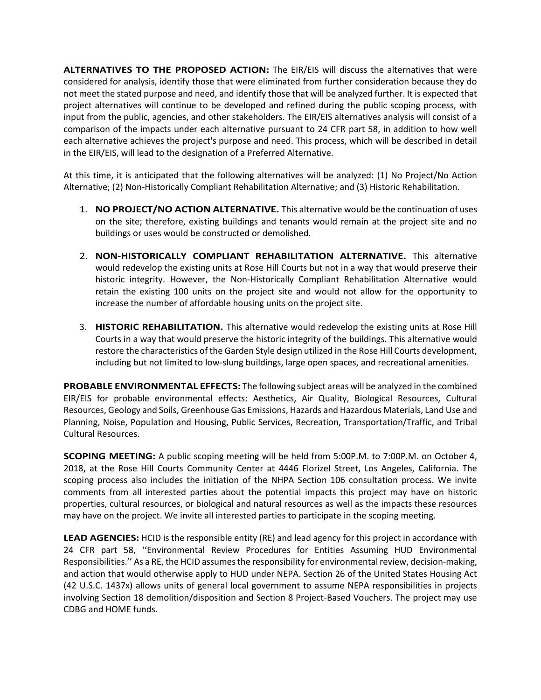**ALTERNATIVES TO THE PROPOSED ACTION:** The EIR/EIS will discuss the alternatives that were considered for analysis, identify those that were eliminated from further consideration because they do not meet the stated purpose and need, and identify those that will be analyzed further. It is expected that project alternatives will continue to be developed and refined during the public scoping process, with input from the public, agencies, and other stakeholders. The EIR/EIS alternatives analysis will consist of a comparison of the impacts under each alternative pursuant to 24 CFR part 58, in addition to how well each alternative achieves the project's purpose and need. This process, which will be described in detail in the EIR/EIS, will lead to the designation of a Preferred Alternative.

At this time, it is anticipated that the following alternatives will be analyzed: (1) No Project/No Action Alternative; (2) Non-Historically Compliant Rehabilitation Alternative; and (3) Historic Rehabilitation.

- 1. **NO PROJECT/NO ACTION ALTERNATIVE.** This alternative would be the continuation of uses on the site; therefore, existing buildings and tenants would remain at the project site and no buildings or uses would be constructed or demolished.
- 2. **NON-HISTORICALLY COMPLIANT REHABILITATION ALTERNATIVE.** This alternative would redevelop the existing units at Rose Hill Courts but not in a way that would preserve their historic integrity. However, the Non-Historically Compliant Rehabilitation Alternative would retain the existing 100 units on the project site and would not allow for the opportunity to increase the number of affordable housing units on the project site.
- 3. **HISTORIC REHABILITATION.** This alternative would redevelop the existing units at Rose Hill Courts in a way that would preserve the historic integrity of the buildings. This alternative would restore the characteristics of the Garden Style design utilized in the Rose Hill Courts development, including but not limited to low-slung buildings, large open spaces, and recreational amenities.

**PROBABLE ENVIRONMENTAL EFFECTS:** The following subject areas will be analyzed in the combined EIR/EIS for probable environmental effects: Aesthetics, Air Quality, Biological Resources, Cultural Resources, Geology and Soils, Greenhouse Gas Emissions, Hazards and Hazardous Materials, Land Use and Planning, Noise, Population and Housing, Public Services, Recreation, Transportation/Traffic, and Tribal Cultural Resources.

**SCOPING MEETING:** A public scoping meeting will be held from 5:00P.M. to 7:00P.M. on October 4, 2018, at the Rose Hill Courts Community Center at 4446 Florizel Street, Los Angeles, California. The scoping process also includes the initiation of the NHPA Section 106 consultation process. We invite comments from all interested parties about the potential impacts this project may have on historic properties, cultural resources, or biological and natural resources as well as the impacts these resources may have on the project. We invite all interested parties to participate in the scoping meeting.

**LEAD AGENCIES:** HCID is the responsible entity (RE) and lead agency for this project in accordance with 24 CFR part 58, ''Environmental Review Procedures for Entities Assuming HUD Environmental Responsibilities.'' As a RE, the HCID assumes the responsibility for environmental review, decision-making, and action that would otherwise apply to HUD under NEPA. Section 26 of the United States Housing Act (42 U.S.C. 1437x) allows units of general local government to assume NEPA responsibilities in projects involving Section 18 demolition/disposition and Section 8 Project-Based Vouchers. The project may use CDBG and HOME funds.